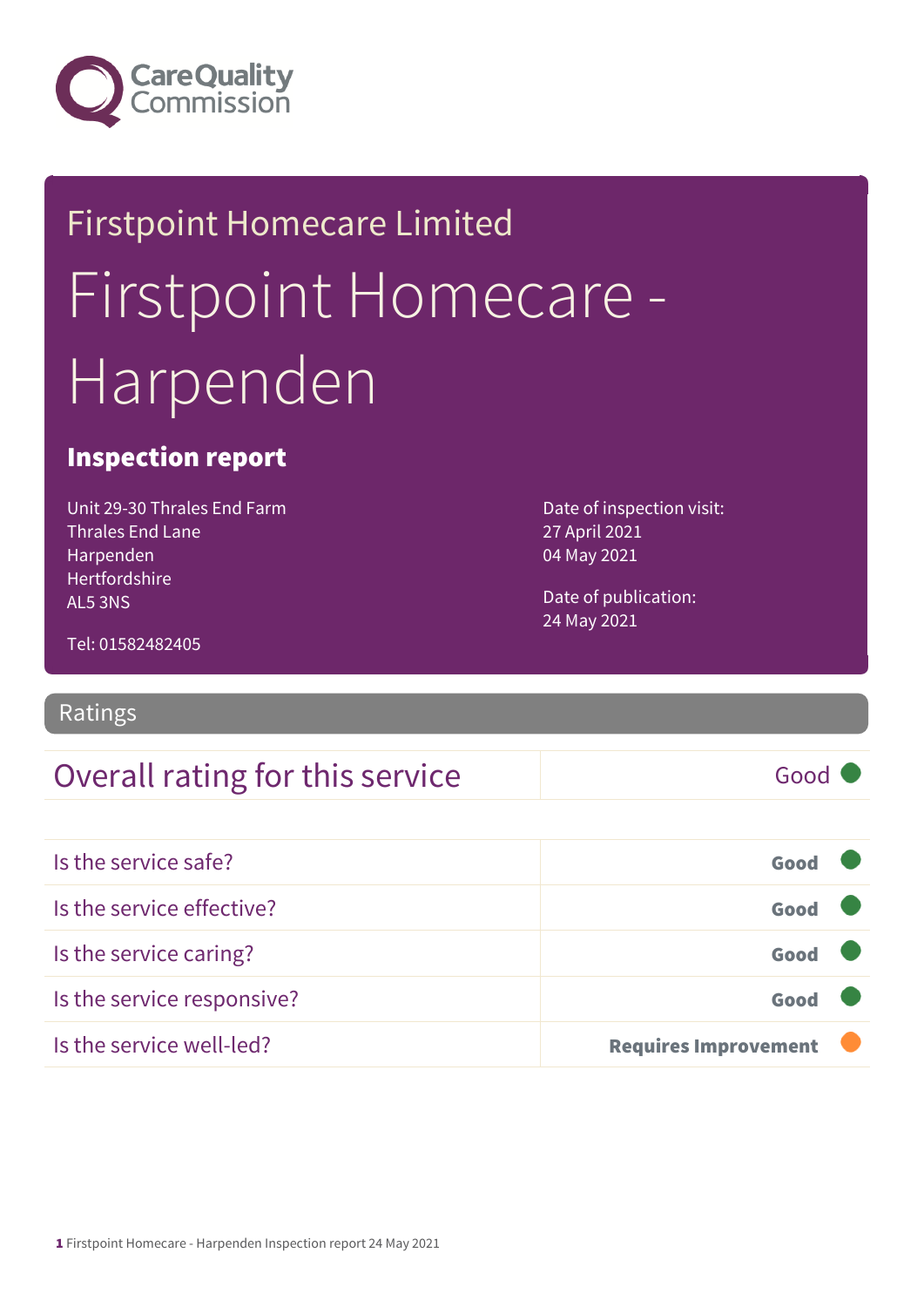

# Firstpoint Homecare Limited Firstpoint Homecare - Harpenden

### Inspection report

Unit 29-30 Thrales End Farm Thrales End Lane Harpenden Hertfordshire AL5 3NS

Date of inspection visit: 27 April 2021 04 May 2021

Date of publication: 24 May 2021

Tel: 01582482405

#### Ratings

### Overall rating for this service Good

| Is the service safe?       | Good                        |  |
|----------------------------|-----------------------------|--|
| Is the service effective?  | Good                        |  |
| Is the service caring?     | Good                        |  |
| Is the service responsive? | Good                        |  |
| Is the service well-led?   | <b>Requires Improvement</b> |  |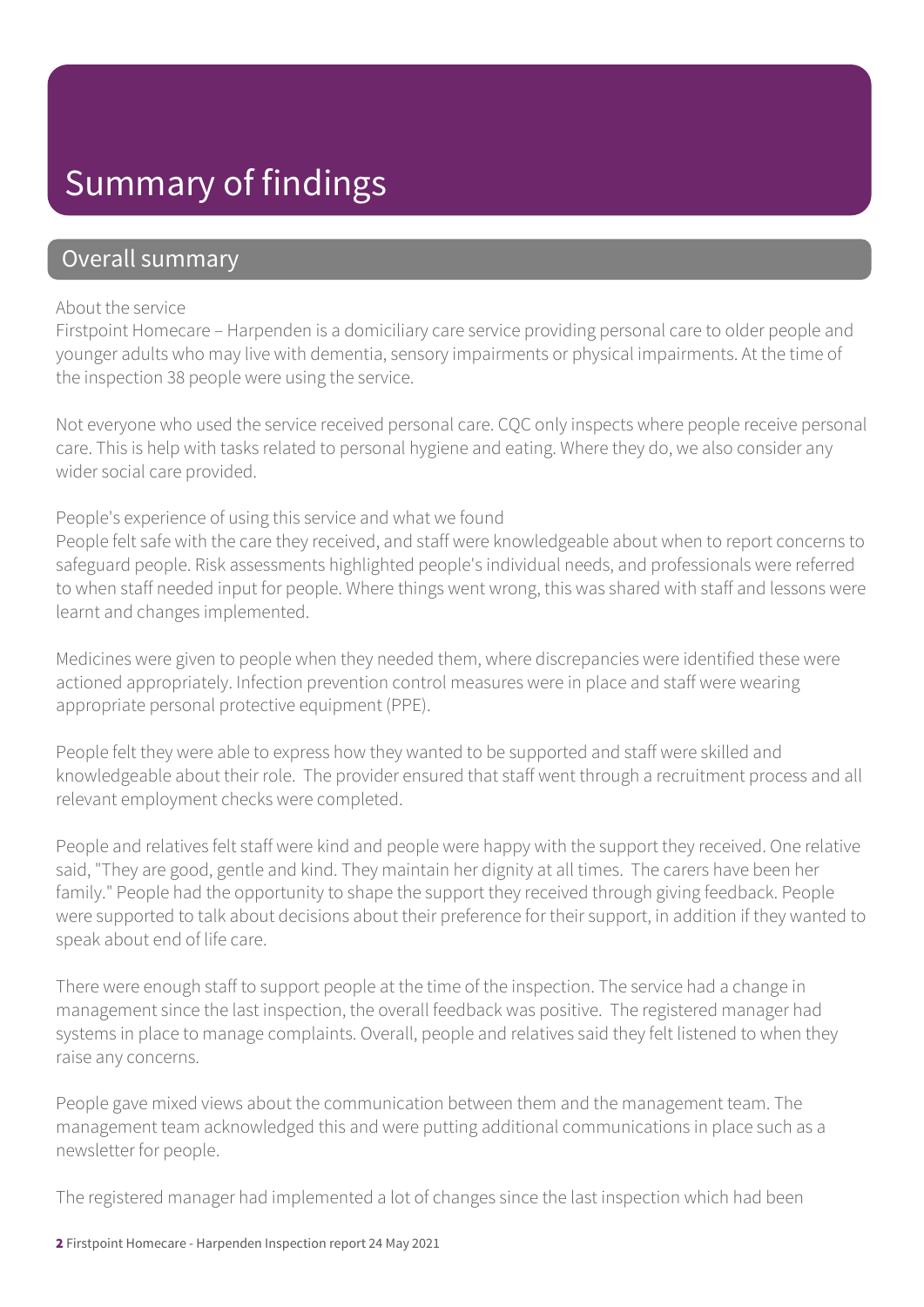### Summary of findings

### Overall summary

#### About the service

Firstpoint Homecare – Harpenden is a domiciliary care service providing personal care to older people and younger adults who may live with dementia, sensory impairments or physical impairments. At the time of the inspection 38 people were using the service.

Not everyone who used the service received personal care. CQC only inspects where people receive personal care. This is help with tasks related to personal hygiene and eating. Where they do, we also consider any wider social care provided.

#### People's experience of using this service and what we found

People felt safe with the care they received, and staff were knowledgeable about when to report concerns to safeguard people. Risk assessments highlighted people's individual needs, and professionals were referred to when staff needed input for people. Where things went wrong, this was shared with staff and lessons were learnt and changes implemented.

Medicines were given to people when they needed them, where discrepancies were identified these were actioned appropriately. Infection prevention control measures were in place and staff were wearing appropriate personal protective equipment (PPE).

People felt they were able to express how they wanted to be supported and staff were skilled and knowledgeable about their role. The provider ensured that staff went through a recruitment process and all relevant employment checks were completed.

People and relatives felt staff were kind and people were happy with the support they received. One relative said, "They are good, gentle and kind. They maintain her dignity at all times. The carers have been her family." People had the opportunity to shape the support they received through giving feedback. People were supported to talk about decisions about their preference for their support, in addition if they wanted to speak about end of life care.

There were enough staff to support people at the time of the inspection. The service had a change in management since the last inspection, the overall feedback was positive. The registered manager had systems in place to manage complaints. Overall, people and relatives said they felt listened to when they raise any concerns.

People gave mixed views about the communication between them and the management team. The management team acknowledged this and were putting additional communications in place such as a newsletter for people.

The registered manager had implemented a lot of changes since the last inspection which had been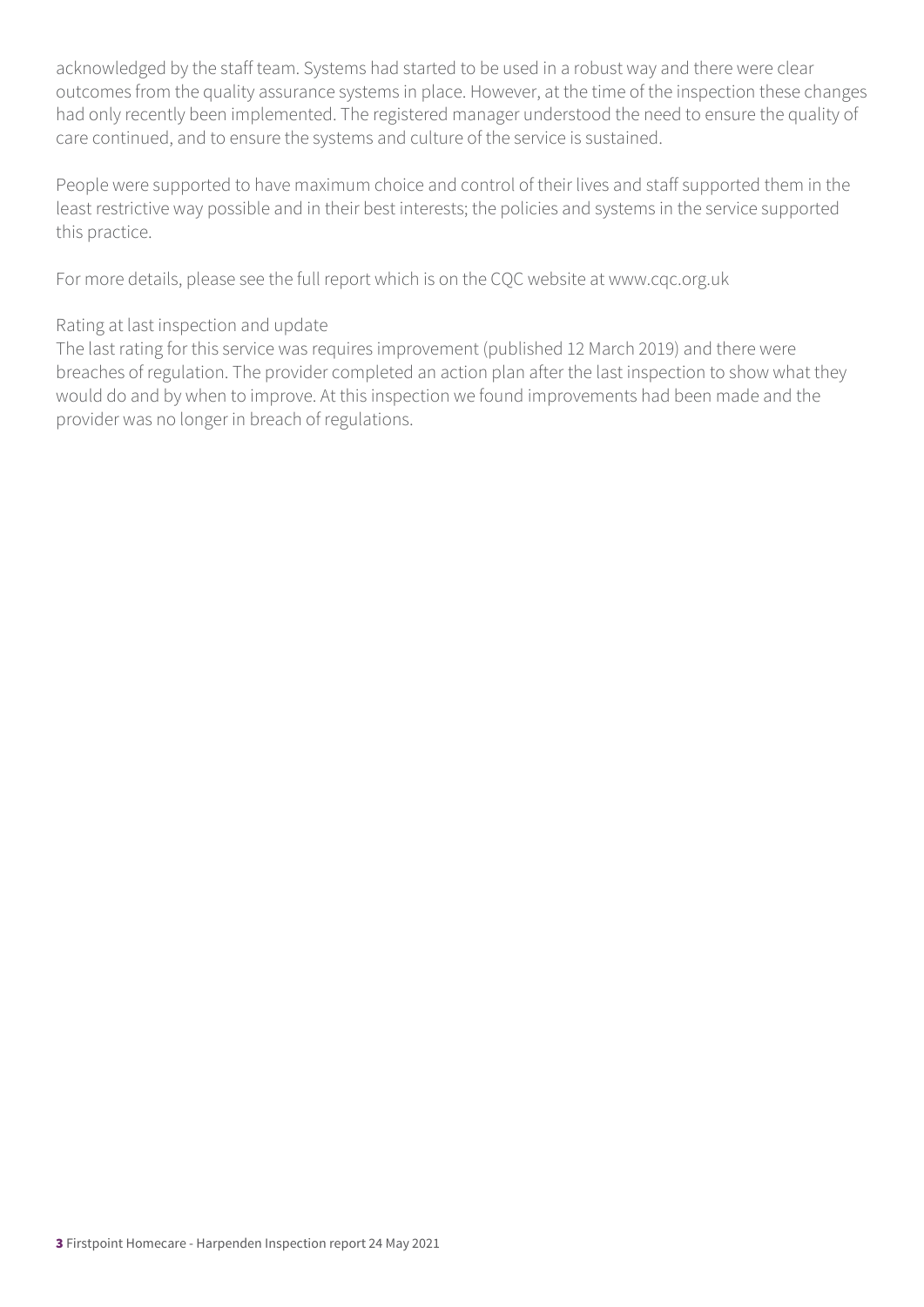acknowledged by the staff team. Systems had started to be used in a robust way and there were clear outcomes from the quality assurance systems in place. However, at the time of the inspection these changes had only recently been implemented. The registered manager understood the need to ensure the quality of care continued, and to ensure the systems and culture of the service is sustained.

People were supported to have maximum choice and control of their lives and staff supported them in the least restrictive way possible and in their best interests; the policies and systems in the service supported this practice.

For more details, please see the full report which is on the CQC website at www.cqc.org.uk

#### Rating at last inspection and update

The last rating for this service was requires improvement (published 12 March 2019) and there were breaches of regulation. The provider completed an action plan after the last inspection to show what they would do and by when to improve. At this inspection we found improvements had been made and the provider was no longer in breach of regulations.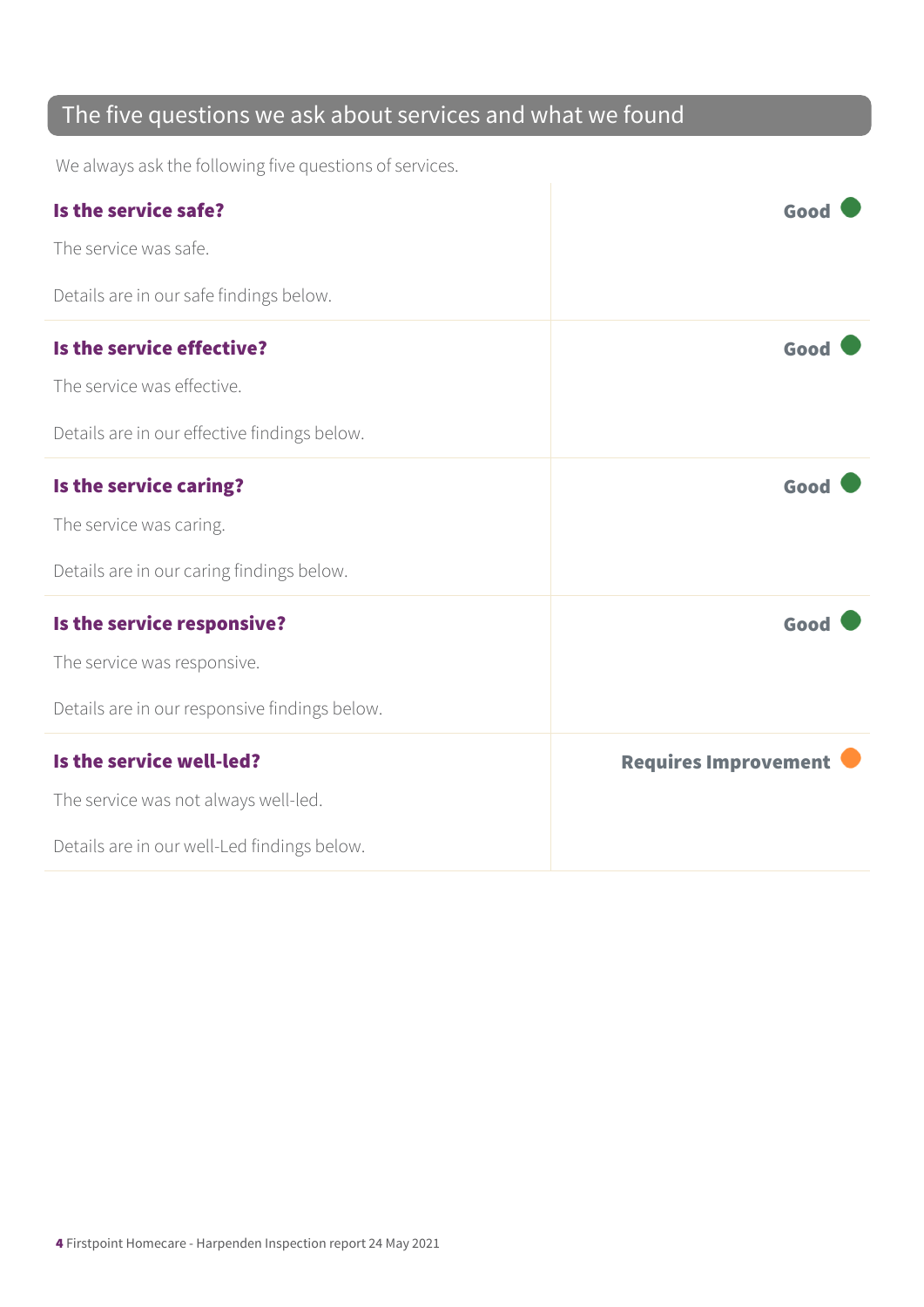### The five questions we ask about services and what we found

We always ask the following five questions of services.

| Is the service safe?                          | Good                        |
|-----------------------------------------------|-----------------------------|
| The service was safe.                         |                             |
| Details are in our safe findings below.       |                             |
| Is the service effective?                     | Good                        |
| The service was effective.                    |                             |
| Details are in our effective findings below.  |                             |
| Is the service caring?                        | Good                        |
| The service was caring.                       |                             |
| Details are in our caring findings below.     |                             |
| Is the service responsive?                    | Good                        |
| The service was responsive.                   |                             |
| Details are in our responsive findings below. |                             |
| Is the service well-led?                      | <b>Requires Improvement</b> |
| The service was not always well-led.          |                             |
| Details are in our well-Led findings below.   |                             |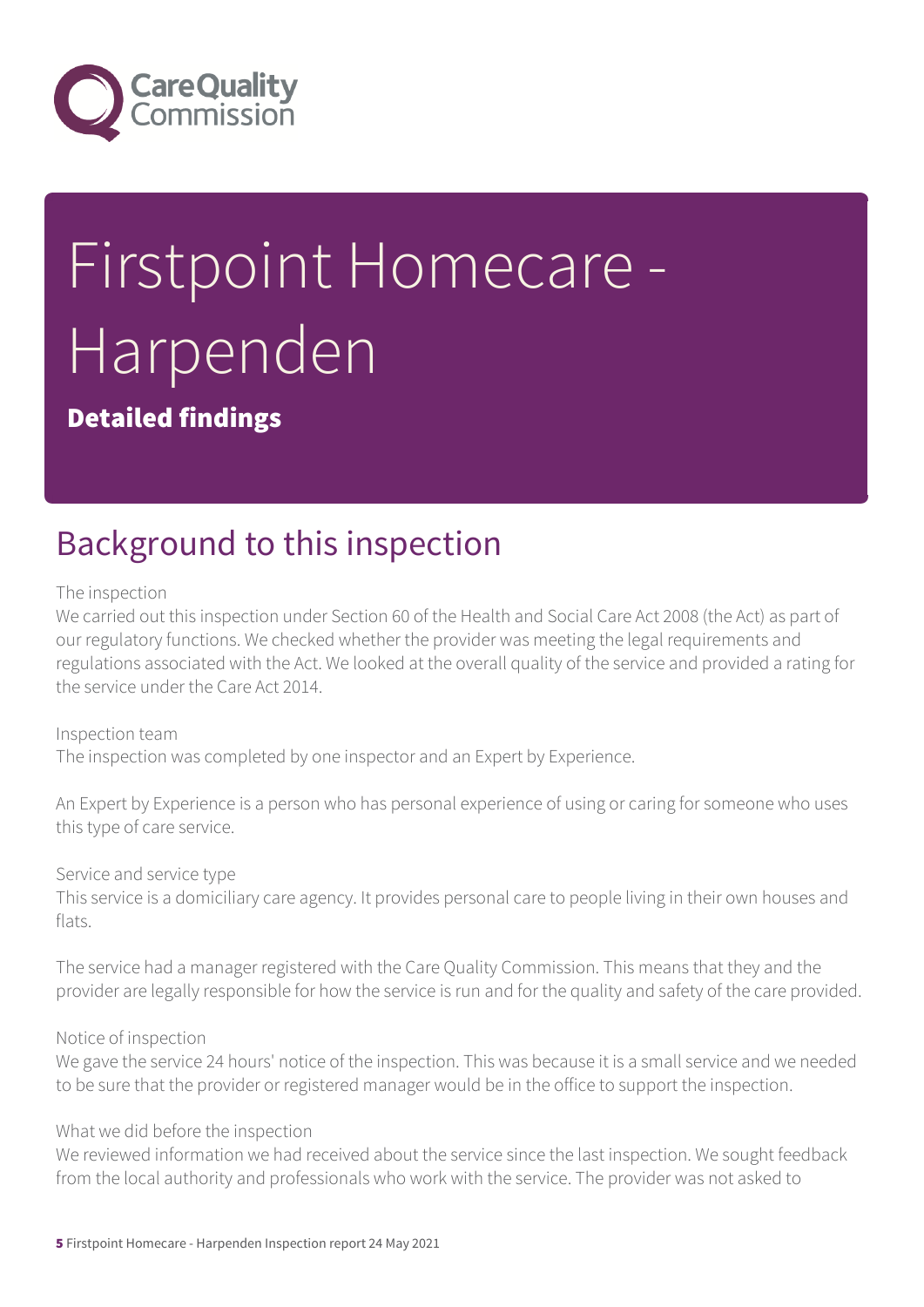

# Firstpoint Homecare - Harpenden

Detailed findings

## Background to this inspection

The inspection

We carried out this inspection under Section 60 of the Health and Social Care Act 2008 (the Act) as part of our regulatory functions. We checked whether the provider was meeting the legal requirements and regulations associated with the Act. We looked at the overall quality of the service and provided a rating for the service under the Care Act 2014.

Inspection team The inspection was completed by one inspector and an Expert by Experience.

An Expert by Experience is a person who has personal experience of using or caring for someone who uses this type of care service.

Service and service type

This service is a domiciliary care agency. It provides personal care to people living in their own houses and flats.

The service had a manager registered with the Care Quality Commission. This means that they and the provider are legally responsible for how the service is run and for the quality and safety of the care provided.

Notice of inspection

We gave the service 24 hours' notice of the inspection. This was because it is a small service and we needed to be sure that the provider or registered manager would be in the office to support the inspection.

What we did before the inspection

We reviewed information we had received about the service since the last inspection. We sought feedback from the local authority and professionals who work with the service. The provider was not asked to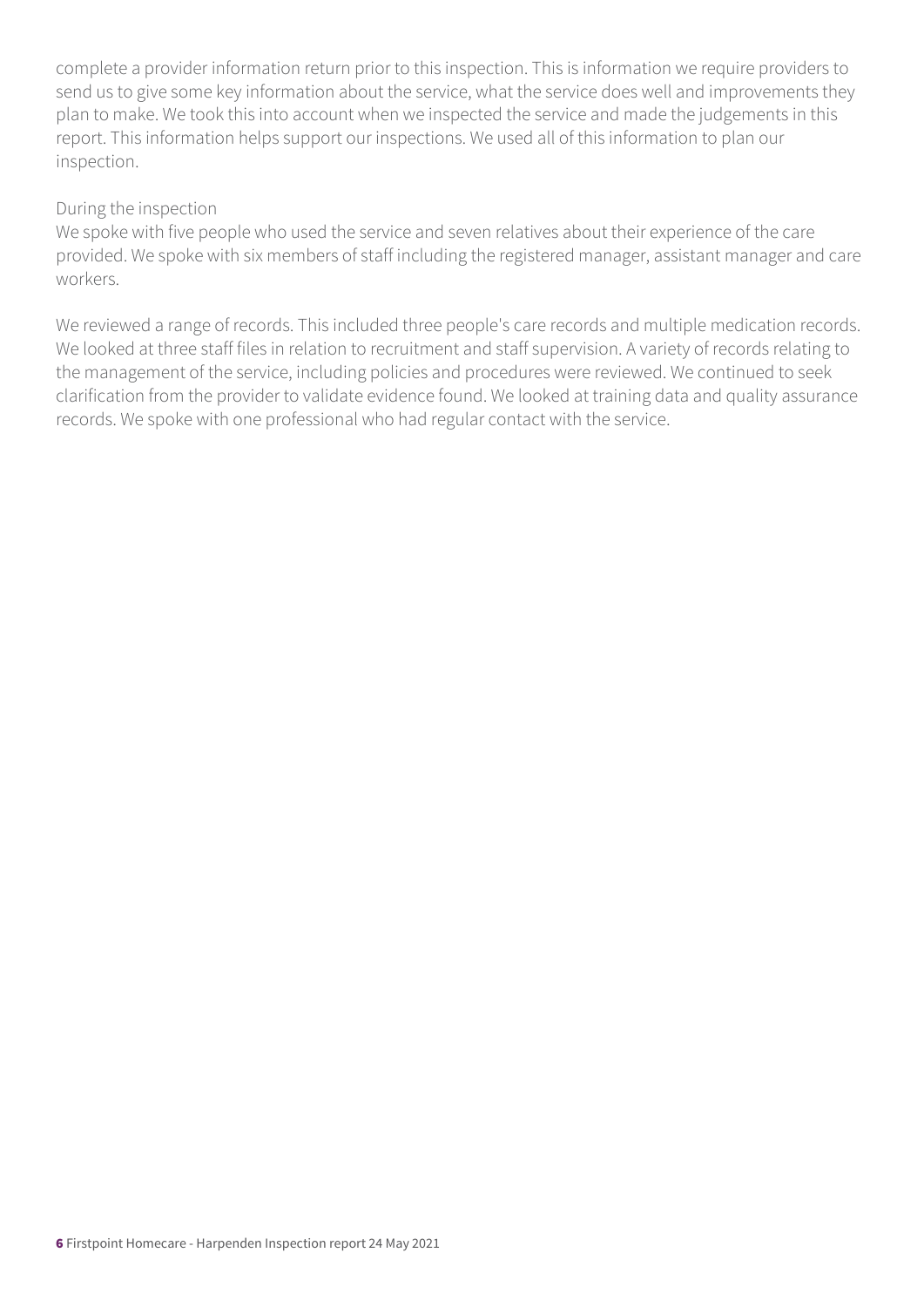complete a provider information return prior to this inspection. This is information we require providers to send us to give some key information about the service, what the service does well and improvements they plan to make. We took this into account when we inspected the service and made the judgements in this report. This information helps support our inspections. We used all of this information to plan our inspection.

#### During the inspection

We spoke with five people who used the service and seven relatives about their experience of the care provided. We spoke with six members of staff including the registered manager, assistant manager and care workers.

We reviewed a range of records. This included three people's care records and multiple medication records. We looked at three staff files in relation to recruitment and staff supervision. A variety of records relating to the management of the service, including policies and procedures were reviewed. We continued to seek clarification from the provider to validate evidence found. We looked at training data and quality assurance records. We spoke with one professional who had regular contact with the service.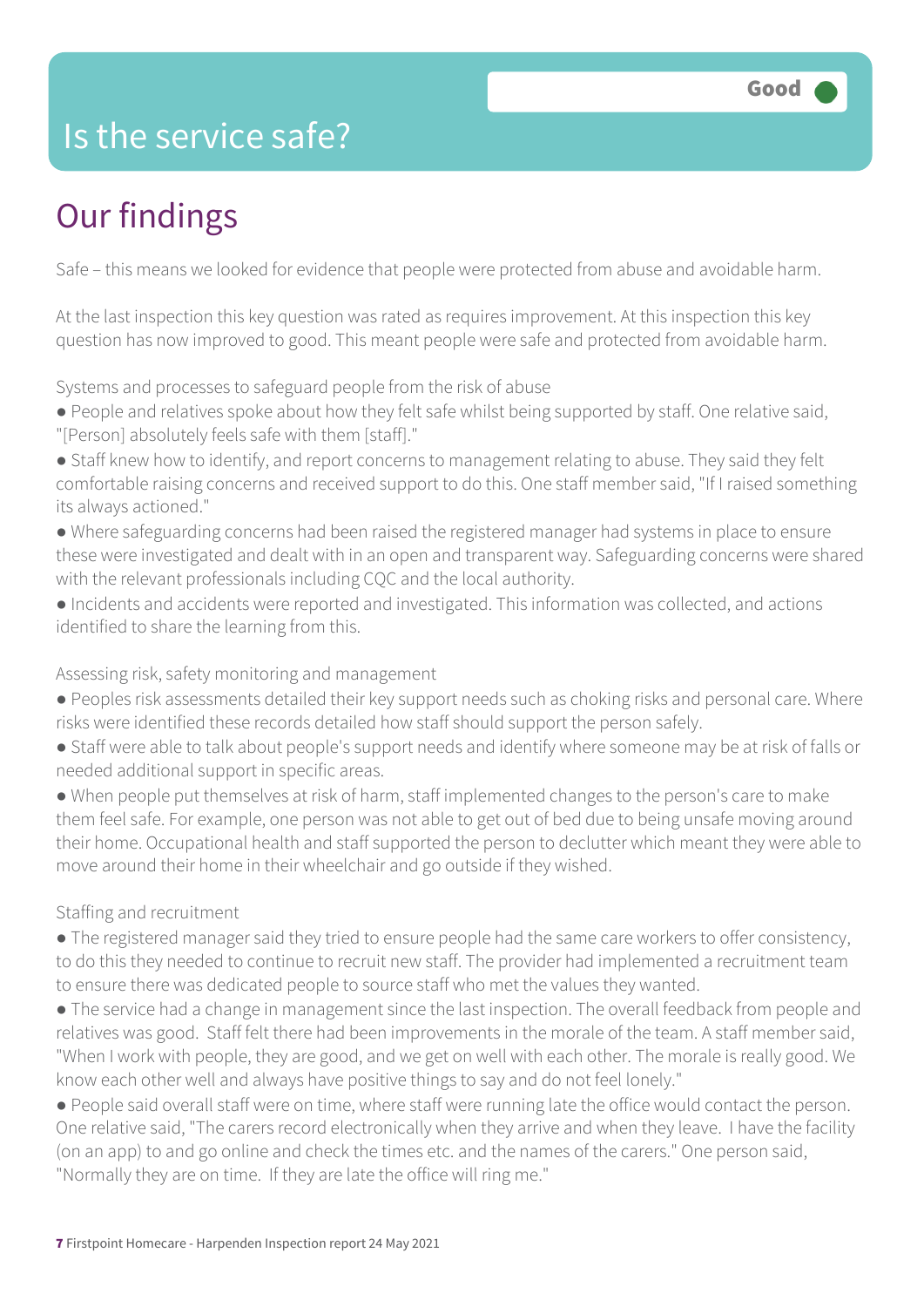### Is the service safe?

# Our findings

Safe – this means we looked for evidence that people were protected from abuse and avoidable harm.

At the last inspection this key question was rated as requires improvement. At this inspection this key question has now improved to good. This meant people were safe and protected from avoidable harm.

Systems and processes to safeguard people from the risk of abuse

- People and relatives spoke about how they felt safe whilst being supported by staff. One relative said, "[Person] absolutely feels safe with them [staff]."
- Staff knew how to identify, and report concerns to management relating to abuse. They said they felt comfortable raising concerns and received support to do this. One staff member said, "If I raised something its always actioned."
- Where safeguarding concerns had been raised the registered manager had systems in place to ensure these were investigated and dealt with in an open and transparent way. Safeguarding concerns were shared with the relevant professionals including CQC and the local authority.
- Incidents and accidents were reported and investigated. This information was collected, and actions identified to share the learning from this.

#### Assessing risk, safety monitoring and management

- Peoples risk assessments detailed their key support needs such as choking risks and personal care. Where risks were identified these records detailed how staff should support the person safely.
- Staff were able to talk about people's support needs and identify where someone may be at risk of falls or needed additional support in specific areas.
- When people put themselves at risk of harm, staff implemented changes to the person's care to make them feel safe. For example, one person was not able to get out of bed due to being unsafe moving around their home. Occupational health and staff supported the person to declutter which meant they were able to move around their home in their wheelchair and go outside if they wished.

#### Staffing and recruitment

- The registered manager said they tried to ensure people had the same care workers to offer consistency, to do this they needed to continue to recruit new staff. The provider had implemented a recruitment team to ensure there was dedicated people to source staff who met the values they wanted.
- The service had a change in management since the last inspection. The overall feedback from people and relatives was good. Staff felt there had been improvements in the morale of the team. A staff member said, "When I work with people, they are good, and we get on well with each other. The morale is really good. We know each other well and always have positive things to say and do not feel lonely."
- People said overall staff were on time, where staff were running late the office would contact the person. One relative said, "The carers record electronically when they arrive and when they leave. I have the facility (on an app) to and go online and check the times etc. and the names of the carers." One person said, "Normally they are on time. If they are late the office will ring me."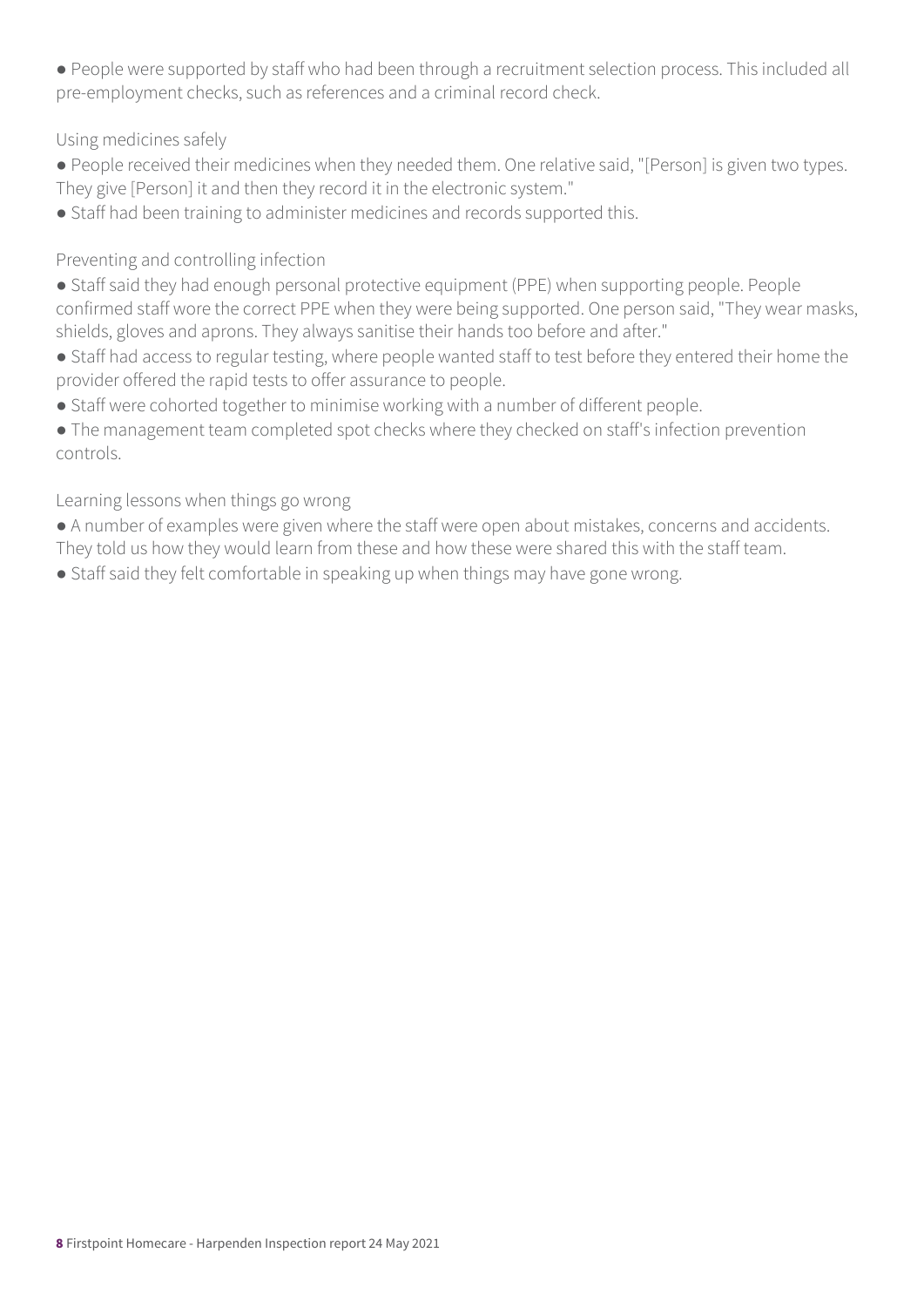● People were supported by staff who had been through a recruitment selection process. This included all pre-employment checks, such as references and a criminal record check.

Using medicines safely

- People received their medicines when they needed them. One relative said, "[Person] is given two types. They give [Person] it and then they record it in the electronic system."
- Staff had been training to administer medicines and records supported this.

Preventing and controlling infection

- Staff said they had enough personal protective equipment (PPE) when supporting people. People confirmed staff wore the correct PPE when they were being supported. One person said, "They wear masks, shields, gloves and aprons. They always sanitise their hands too before and after."
- Staff had access to regular testing, where people wanted staff to test before they entered their home the provider offered the rapid tests to offer assurance to people.
- Staff were cohorted together to minimise working with a number of different people.

• The management team completed spot checks where they checked on staff's infection prevention controls.

#### Learning lessons when things go wrong

- A number of examples were given where the staff were open about mistakes, concerns and accidents. They told us how they would learn from these and how these were shared this with the staff team.
- Staff said they felt comfortable in speaking up when things may have gone wrong.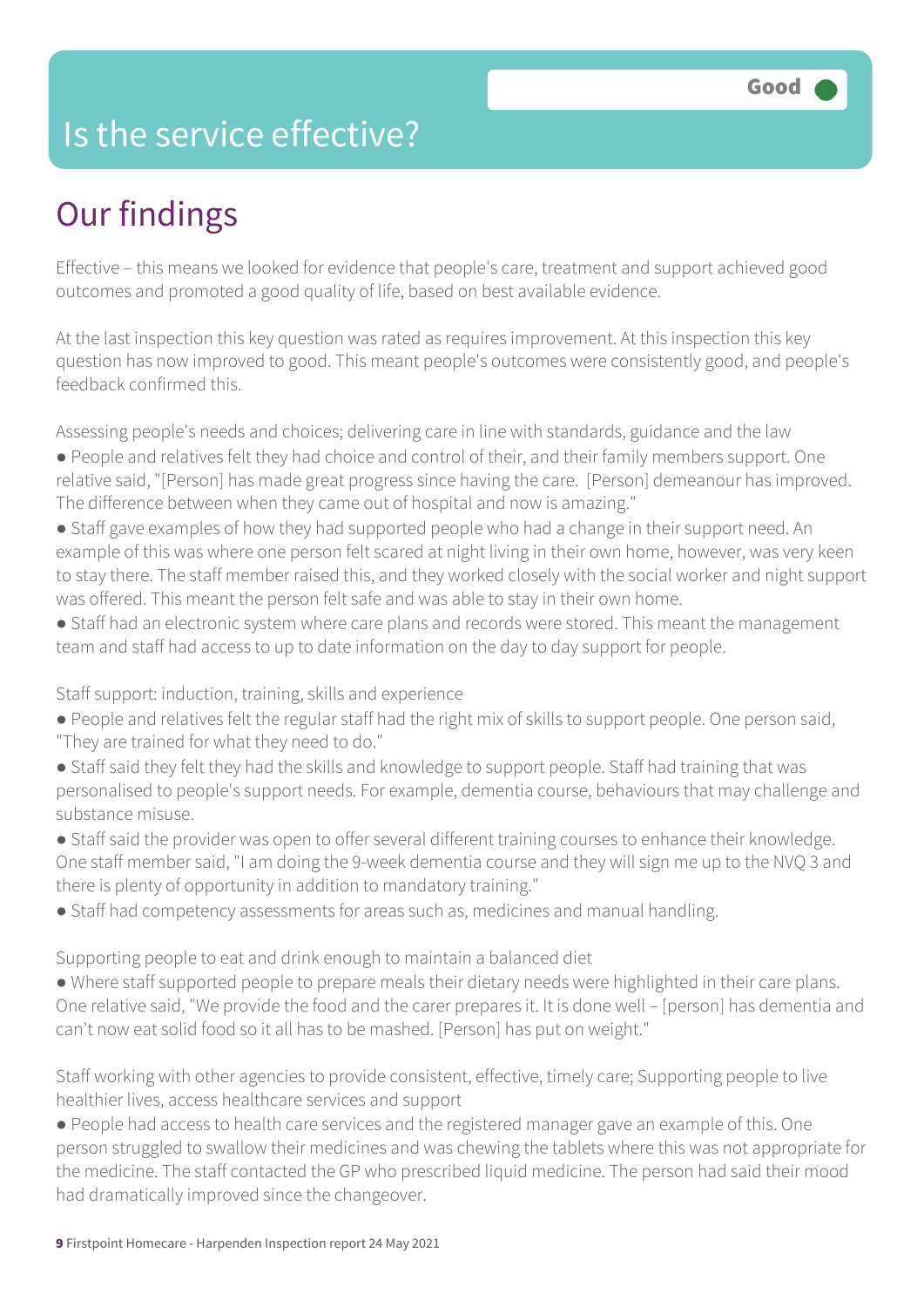### Is the service effective?

# Our findings

Effective – this means we looked for evidence that people's care, treatment and support achieved good outcomes and promoted a good quality of life, based on best available evidence.

At the last inspection this key question was rated as requires improvement. At this inspection this key question has now improved to good. This meant people's outcomes were consistently good, and people's feedback confirmed this.

Assessing people's needs and choices; delivering care in line with standards, guidance and the law

- People and relatives felt they had choice and control of their, and their family members support. One relative said, "[Person] has made great progress since having the care. [Person] demeanour has improved. The difference between when they came out of hospital and now is amazing."
- Staff gave examples of how they had supported people who had a change in their support need. An example of this was where one person felt scared at night living in their own home, however, was very keen to stay there. The staff member raised this, and they worked closely with the social worker and night support was offered. This meant the person felt safe and was able to stay in their own home.
- Staff had an electronic system where care plans and records were stored. This meant the management team and staff had access to up to date information on the day to day support for people.

Staff support: induction, training, skills and experience

- People and relatives felt the regular staff had the right mix of skills to support people. One person said, "They are trained for what they need to do."
- Staff said they felt they had the skills and knowledge to support people. Staff had training that was personalised to people's support needs. For example, dementia course, behaviours that may challenge and substance misuse.
- Staff said the provider was open to offer several different training courses to enhance their knowledge. One staff member said, "I am doing the 9-week dementia course and they will sign me up to the NVQ 3 and there is plenty of opportunity in addition to mandatory training."
- Staff had competency assessments for areas such as, medicines and manual handling.

Supporting people to eat and drink enough to maintain a balanced diet

● Where staff supported people to prepare meals their dietary needs were highlighted in their care plans. One relative said, "We provide the food and the carer prepares it. It is done well – [person] has dementia and can't now eat solid food so it all has to be mashed. [Person] has put on weight."

Staff working with other agencies to provide consistent, effective, timely care; Supporting people to live healthier lives, access healthcare services and support

● People had access to health care services and the registered manager gave an example of this. One person struggled to swallow their medicines and was chewing the tablets where this was not appropriate for the medicine. The staff contacted the GP who prescribed liquid medicine. The person had said their mood had dramatically improved since the changeover.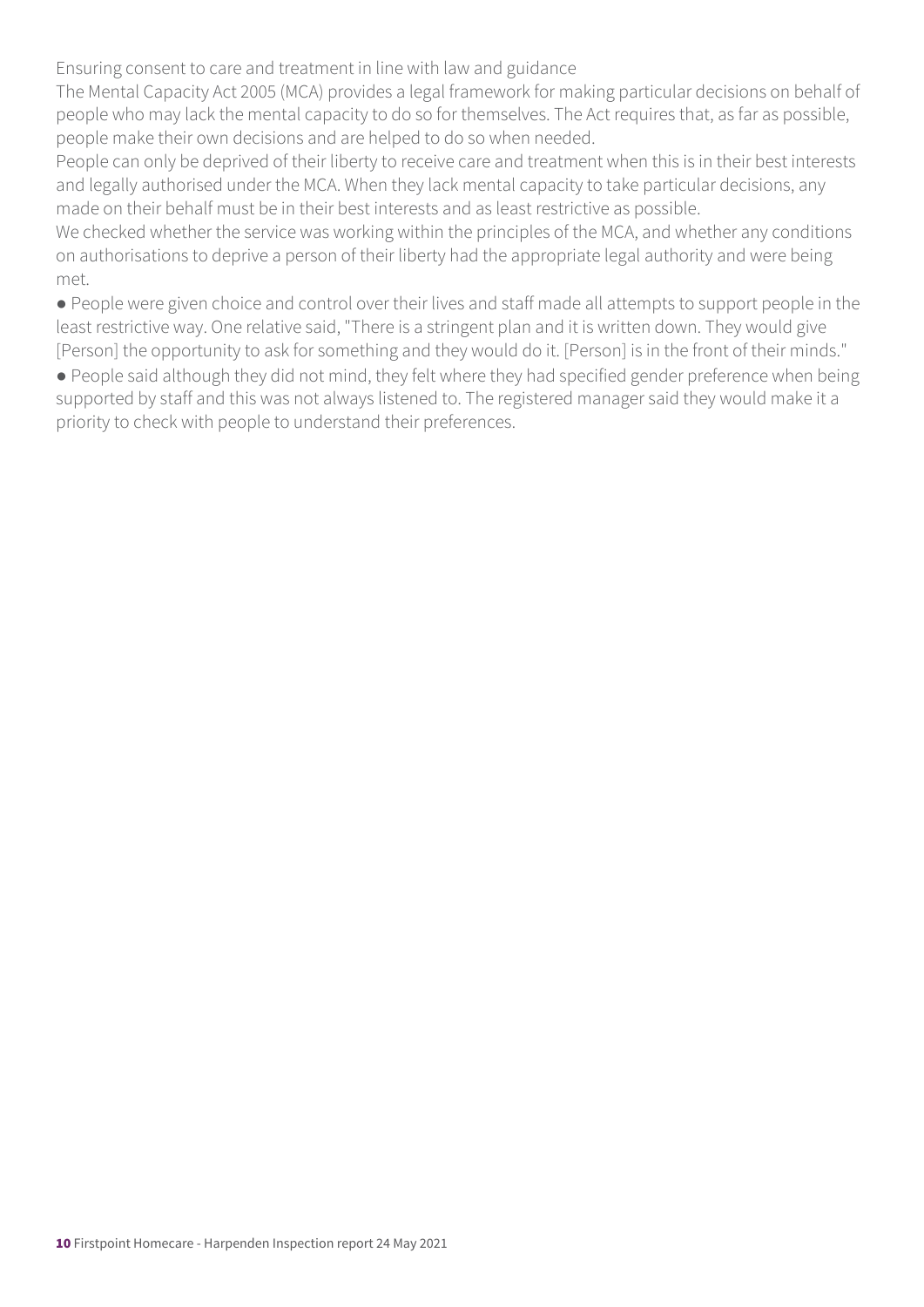Ensuring consent to care and treatment in line with law and guidance

The Mental Capacity Act 2005 (MCA) provides a legal framework for making particular decisions on behalf of people who may lack the mental capacity to do so for themselves. The Act requires that, as far as possible, people make their own decisions and are helped to do so when needed.

People can only be deprived of their liberty to receive care and treatment when this is in their best interests and legally authorised under the MCA. When they lack mental capacity to take particular decisions, any made on their behalf must be in their best interests and as least restrictive as possible.

We checked whether the service was working within the principles of the MCA, and whether any conditions on authorisations to deprive a person of their liberty had the appropriate legal authority and were being met.

● People were given choice and control over their lives and staff made all attempts to support people in the least restrictive way. One relative said, "There is a stringent plan and it is written down. They would give [Person] the opportunity to ask for something and they would do it. [Person] is in the front of their minds."

● People said although they did not mind, they felt where they had specified gender preference when being supported by staff and this was not always listened to. The registered manager said they would make it a priority to check with people to understand their preferences.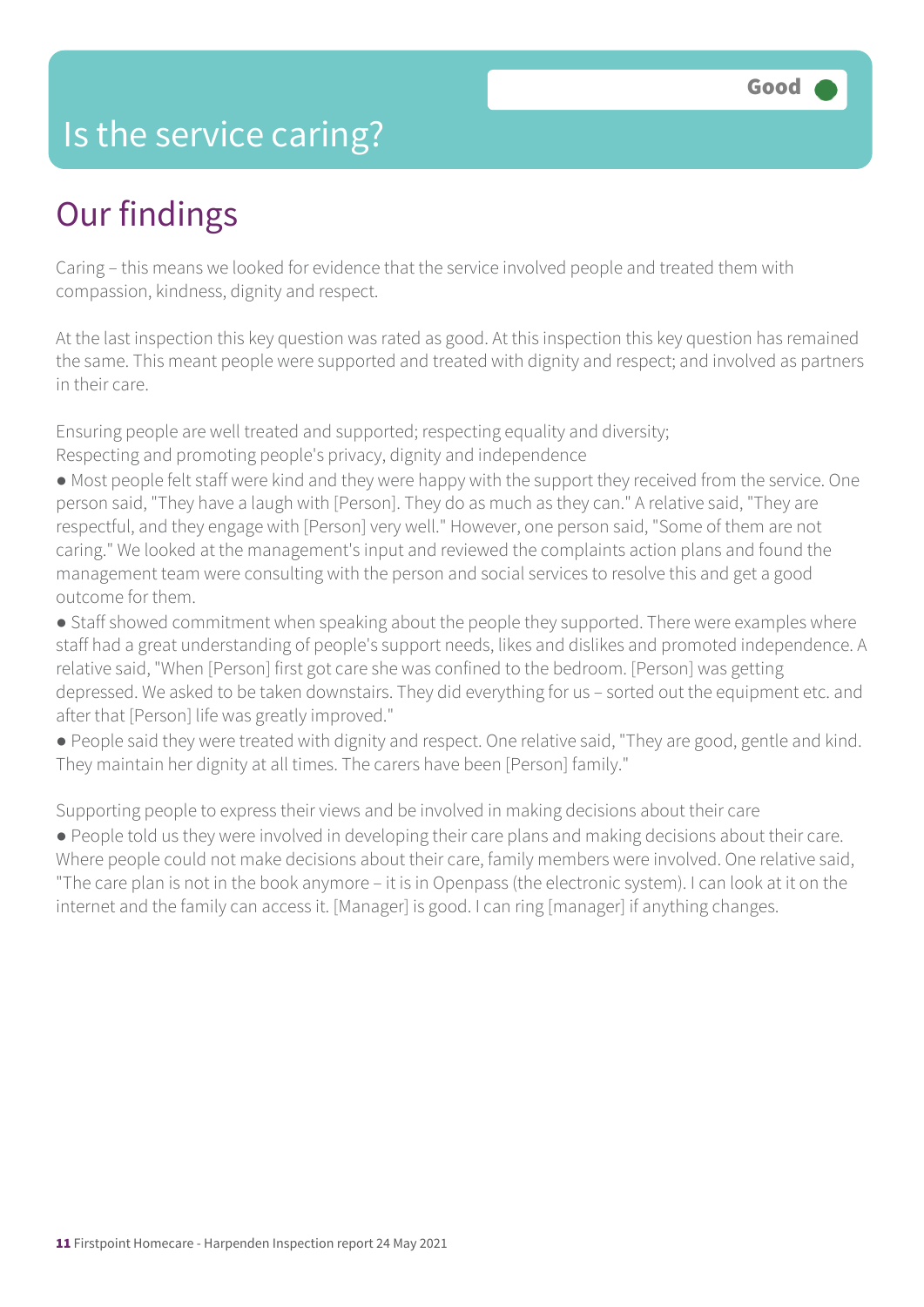### Is the service caring?

### Our findings

Caring – this means we looked for evidence that the service involved people and treated them with compassion, kindness, dignity and respect.

At the last inspection this key question was rated as good. At this inspection this key question has remained the same. This meant people were supported and treated with dignity and respect; and involved as partners in their care.

Ensuring people are well treated and supported; respecting equality and diversity; Respecting and promoting people's privacy, dignity and independence

- Most people felt staff were kind and they were happy with the support they received from the service. One person said, "They have a laugh with [Person]. They do as much as they can." A relative said, "They are respectful, and they engage with [Person] very well." However, one person said, "Some of them are not caring." We looked at the management's input and reviewed the complaints action plans and found the management team were consulting with the person and social services to resolve this and get a good outcome for them.
- Staff showed commitment when speaking about the people they supported. There were examples where staff had a great understanding of people's support needs, likes and dislikes and promoted independence. A relative said, "When [Person] first got care she was confined to the bedroom. [Person] was getting depressed. We asked to be taken downstairs. They did everything for us – sorted out the equipment etc. and after that [Person] life was greatly improved."
- People said they were treated with dignity and respect. One relative said, "They are good, gentle and kind. They maintain her dignity at all times. The carers have been [Person] family."

Supporting people to express their views and be involved in making decisions about their care

● People told us they were involved in developing their care plans and making decisions about their care. Where people could not make decisions about their care, family members were involved. One relative said, "The care plan is not in the book anymore – it is in Openpass (the electronic system). I can look at it on the internet and the family can access it. [Manager] is good. I can ring [manager] if anything changes.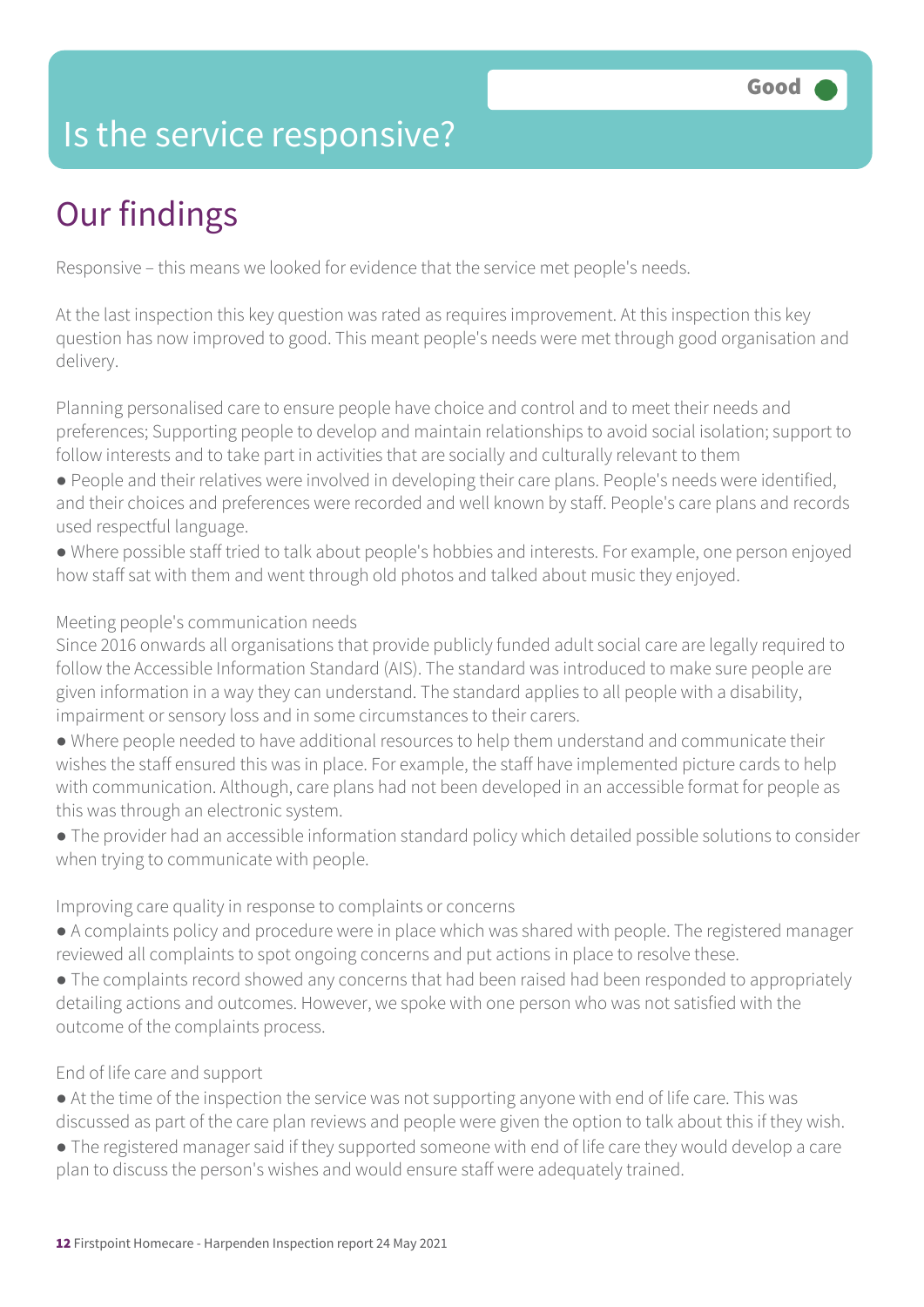### Is the service responsive?

# Our findings

Responsive – this means we looked for evidence that the service met people's needs.

At the last inspection this key question was rated as requires improvement. At this inspection this key question has now improved to good. This meant people's needs were met through good organisation and delivery.

Planning personalised care to ensure people have choice and control and to meet their needs and preferences; Supporting people to develop and maintain relationships to avoid social isolation; support to follow interests and to take part in activities that are socially and culturally relevant to them

- People and their relatives were involved in developing their care plans. People's needs were identified, and their choices and preferences were recorded and well known by staff. People's care plans and records used respectful language.
- Where possible staff tried to talk about people's hobbies and interests. For example, one person enjoyed how staff sat with them and went through old photos and talked about music they enjoyed.

#### Meeting people's communication needs

Since 2016 onwards all organisations that provide publicly funded adult social care are legally required to follow the Accessible Information Standard (AIS). The standard was introduced to make sure people are given information in a way they can understand. The standard applies to all people with a disability, impairment or sensory loss and in some circumstances to their carers.

- Where people needed to have additional resources to help them understand and communicate their wishes the staff ensured this was in place. For example, the staff have implemented picture cards to help with communication. Although, care plans had not been developed in an accessible format for people as this was through an electronic system.
- The provider had an accessible information standard policy which detailed possible solutions to consider when trying to communicate with people.

#### Improving care quality in response to complaints or concerns

- A complaints policy and procedure were in place which was shared with people. The registered manager reviewed all complaints to spot ongoing concerns and put actions in place to resolve these.
- The complaints record showed any concerns that had been raised had been responded to appropriately detailing actions and outcomes. However, we spoke with one person who was not satisfied with the outcome of the complaints process.

#### End of life care and support

- At the time of the inspection the service was not supporting anyone with end of life care. This was discussed as part of the care plan reviews and people were given the option to talk about this if they wish.
- The registered manager said if they supported someone with end of life care they would develop a care plan to discuss the person's wishes and would ensure staff were adequately trained.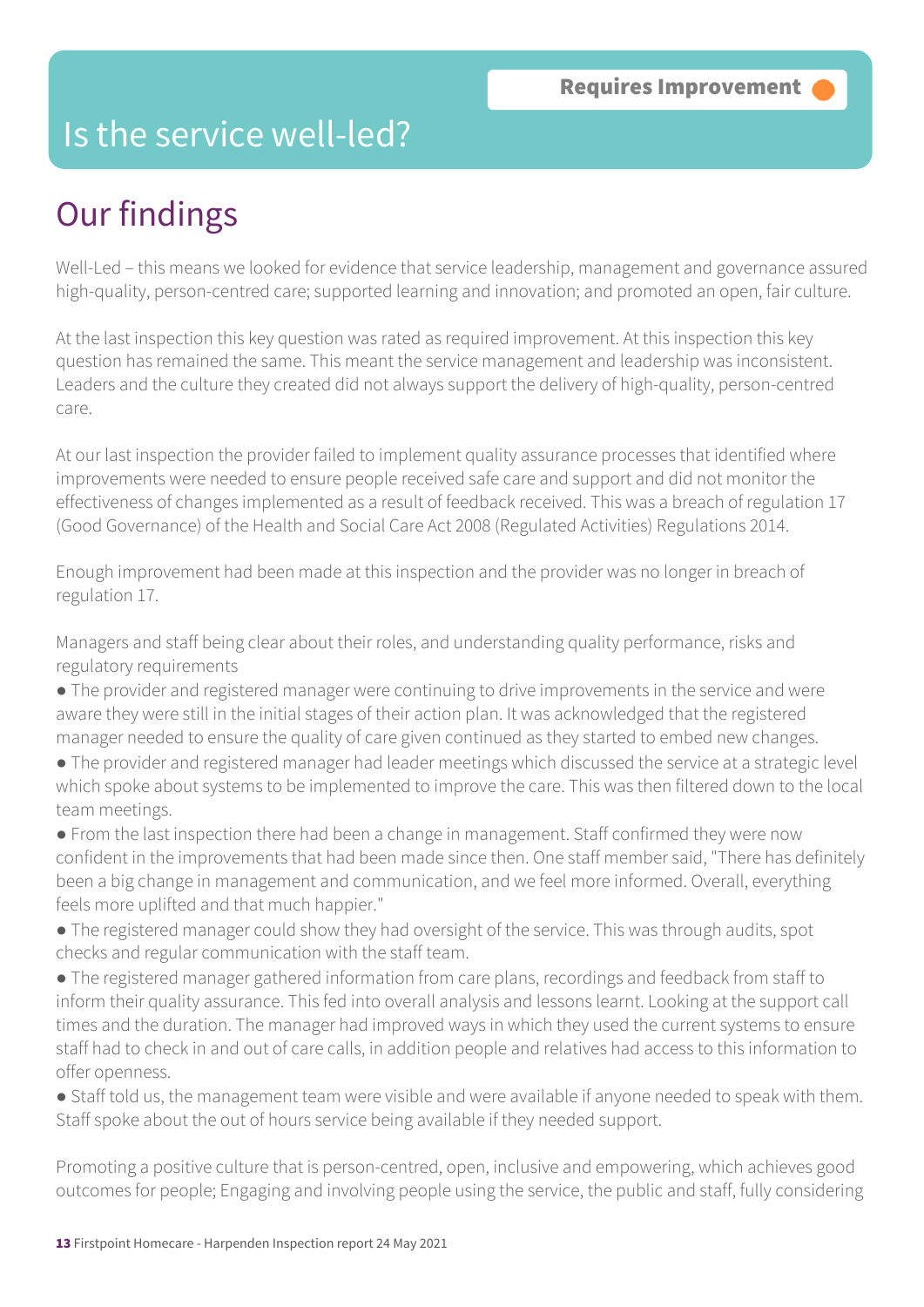### Is the service well-led?

### Our findings

Well-Led – this means we looked for evidence that service leadership, management and governance assured high-quality, person-centred care; supported learning and innovation; and promoted an open, fair culture.

At the last inspection this key question was rated as required improvement. At this inspection this key question has remained the same. This meant the service management and leadership was inconsistent. Leaders and the culture they created did not always support the delivery of high-quality, person-centred care.

At our last inspection the provider failed to implement quality assurance processes that identified where improvements were needed to ensure people received safe care and support and did not monitor the effectiveness of changes implemented as a result of feedback received. This was a breach of regulation 17 (Good Governance) of the Health and Social Care Act 2008 (Regulated Activities) Regulations 2014.

Enough improvement had been made at this inspection and the provider was no longer in breach of regulation 17.

Managers and staff being clear about their roles, and understanding quality performance, risks and regulatory requirements

- The provider and registered manager were continuing to drive improvements in the service and were aware they were still in the initial stages of their action plan. It was acknowledged that the registered manager needed to ensure the quality of care given continued as they started to embed new changes.
- The provider and registered manager had leader meetings which discussed the service at a strategic level which spoke about systems to be implemented to improve the care. This was then filtered down to the local team meetings.
- From the last inspection there had been a change in management. Staff confirmed they were now confident in the improvements that had been made since then. One staff member said, "There has definitely been a big change in management and communication, and we feel more informed. Overall, everything feels more uplifted and that much happier."
- The registered manager could show they had oversight of the service. This was through audits, spot checks and regular communication with the staff team.
- The registered manager gathered information from care plans, recordings and feedback from staff to inform their quality assurance. This fed into overall analysis and lessons learnt. Looking at the support call times and the duration. The manager had improved ways in which they used the current systems to ensure staff had to check in and out of care calls, in addition people and relatives had access to this information to offer openness.
- Staff told us, the management team were visible and were available if anyone needed to speak with them. Staff spoke about the out of hours service being available if they needed support.

Promoting a positive culture that is person-centred, open, inclusive and empowering, which achieves good outcomes for people; Engaging and involving people using the service, the public and staff, fully considering